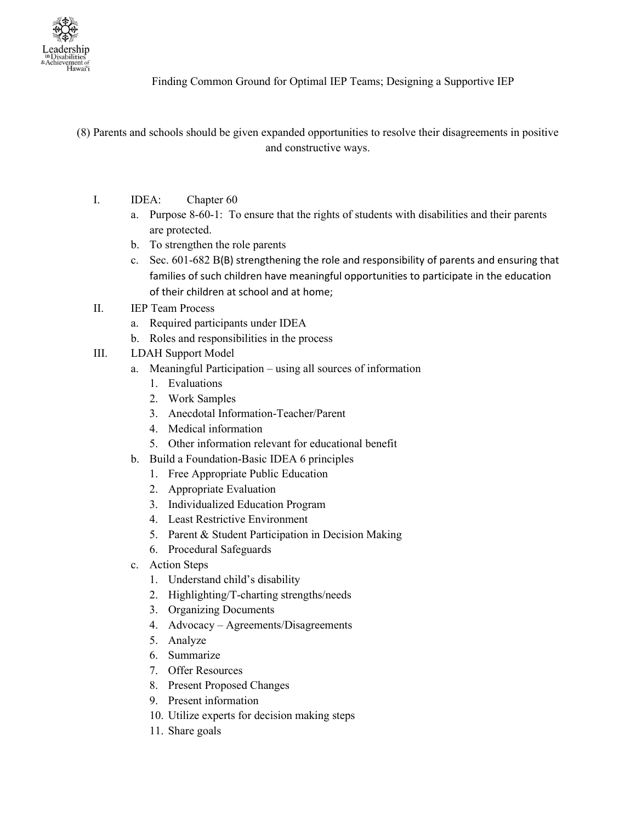

Finding Common Ground for Optimal IEP Teams; Designing a Supportive IEP

- (8) Parents and schools should be given expanded opportunities to resolve their disagreements in positive and constructive ways.
	- I. IDEA: Chapter 60
		- a. Purpose 8-60-1: To ensure that the rights of students with disabilities and their parents are protected.
		- b. To strengthen the role parents
		- c. Sec. 601-682 B(B) strengthening the role and responsibility of parents and ensuring that families of such children have meaningful opportunities to participate in the education of their children at school and at home;
	- II. IEP Team Process
		- a. Required participants under IDEA
		- b. Roles and responsibilities in the process
	- III. LDAH Support Model
		- a. Meaningful Participation using all sources of information
			- 1. Evaluations
			- 2. Work Samples
			- 3. Anecdotal Information-Teacher/Parent
			- 4. Medical information
			- 5. Other information relevant for educational benefit
		- b. Build a Foundation-Basic IDEA 6 principles
			- 1. Free Appropriate Public Education
			- 2. Appropriate Evaluation
			- 3. Individualized Education Program
			- 4. Least Restrictive Environment
			- 5. Parent & Student Participation in Decision Making
			- 6. Procedural Safeguards
		- c. Action Steps
			- 1. Understand child's disability
			- 2. Highlighting/T-charting strengths/needs
			- 3. Organizing Documents
			- 4. Advocacy Agreements/Disagreements
			- 5. Analyze
			- 6. Summarize
			- 7. Offer Resources
			- 8. Present Proposed Changes
			- 9. Present information
			- 10. Utilize experts for decision making steps
			- 11. Share goals